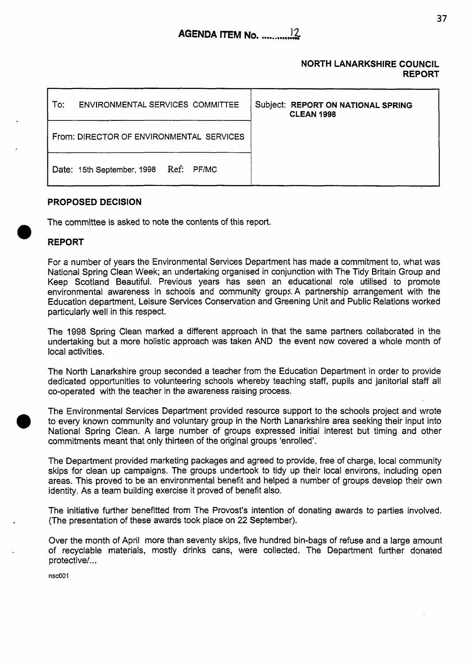### **NORTH LANARKSHIRE COUNCIL REPORT**

| ENVIRONMENTAL SERVICES COMMITTEE<br>Tor: |                                       | Subject: REPORT ON NATIONAL SPRING<br><b>CLEAN 1998</b> |
|------------------------------------------|---------------------------------------|---------------------------------------------------------|
| From: DIRECTOR OF ENVIRONMENTAL SERVICES |                                       |                                                         |
|                                          | Date: 15th September, 1998 Ref: PF/MC |                                                         |

# **PROPOSED DECISION**

The committee is asked to note the contents of this report.

# **REPORT**

For a number *of* years the Environmental Services Department has made a commitment to, what was National Spring Clean Week; an undertaking organised in conjunction with The Tidy Britain Group and Keep Scotland Beautiful. Previous years has seen an educational role utilised to promote environmental awareness in schools and community groups. A partnership arrangement with the Education department, Leisure Services Conservation and Greening Unit and Public Relations worked particularly well in this respect.

The 1998 Spring Clean marked a different approach in that the same partners collaborated in the undertaking but a more holistic approach was taken AND the event now covered a whole month of local activities.

The North Lanarkshire group seconded a teacher from the Education Department in order to provide dedicated opportunities to volunteering schools whereby teaching staff, pupils and janitorial staff all co-operated with the teacher in the awareness raising process.

The Environmental Services Department provided resource support to the schools project and wrote to every known community and voluntary group in the North Lanarkshire area seeking their input into National Spring Clean. A large number of groups expressed initial interest but timing and other commitments meant that only thirteen of the original groups 'enrolled'.

The Department provided marketing packages and agreed to provide, free of charge, local community skips for clean up campaigns. The groups undertook to tidy up their local environs, including open areas. This proved to be an environmental benefit and helped a number of groups develop their own identity. As a team building exercise it proved of benefit also.

The initiative further benefitted from The Provost's intention of donating awards to parties involved. (The presentation of these awards took place on 22 September).

Over the month of April more than seventy skips, five hundred bin-bags of refuse and a large amount of recyclable materials, mostly drinks cans, were collected. The Department further donated protective/.. .

**nscOOl**